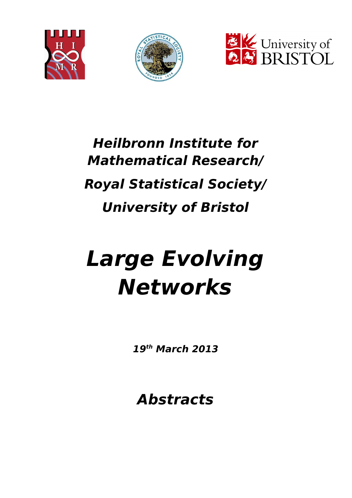





# **Heilbronn Institute for Mathematical Research/ Royal Statistical Society/ University of Bristol**

# **Large Evolving Networks**

**19th March 2013**

**Abstracts**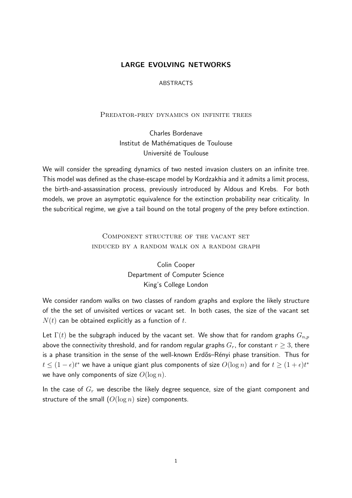### LARGE EVOLVING NETWORKS

#### ABSTRACTS

#### PREDATOR-PREY DYNAMICS ON INFINITE TREES

Charles Bordenave Institut de Mathématiques de Toulouse Université de Toulouse

We will consider the spreading dynamics of two nested invasion clusters on an infinite tree. This model was defined as the chase-escape model by Kordzakhia and it admits a limit process, the birth-and-assassination process, previously introduced by Aldous and Krebs. For both models, we prove an asymptotic equivalence for the extinction probability near criticality. In the subcritical regime, we give a tail bound on the total progeny of the prey before extinction.

## Component structure of the vacant set induced by a random walk on a random graph

Colin Cooper Department of Computer Science King's College London

We consider random walks on two classes of random graphs and explore the likely structure of the the set of unvisited vertices or vacant set. In both cases, the size of the vacant set  $N(t)$  can be obtained explicitly as a function of t.

Let  $\Gamma(t)$  be the subgraph induced by the vacant set. We show that for random graphs  $G_{n,p}$ above the connectivity threshold, and for random regular graphs  $G_r$ , for constant  $r \geq 3$ , there is a phase transition in the sense of the well-known Erdős–Rényi phase transition. Thus for  $t\leq (1-\epsilon)t^*$  we have a unique giant plus components of size  $O(\log n)$  and for  $t\geq (1+\epsilon)t^*$ we have only components of size  $O(\log n)$ .

In the case of  $G_r$  we describe the likely degree sequence, size of the giant component and structure of the small  $(O(\log n)$  size) components.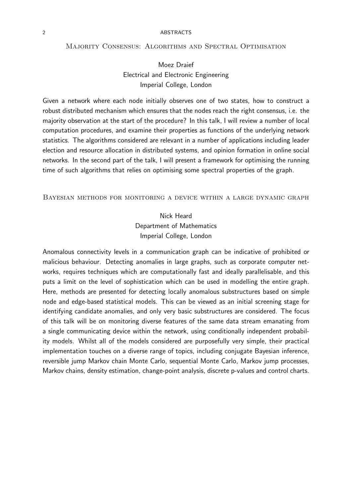#### Majority Consensus: Algorithms and Spectral Optimisation

Moez Draief Electrical and Electronic Engineering Imperial College, London

Given a network where each node initially observes one of two states, how to construct a robust distributed mechanism which ensures that the nodes reach the right consensus, i.e. the majority observation at the start of the procedure? In this talk, I will review a number of local computation procedures, and examine their properties as functions of the underlying network statistics. The algorithms considered are relevant in a number of applications including leader election and resource allocation in distributed systems, and opinion formation in online social networks. In the second part of the talk, I will present a framework for optimising the running time of such algorithms that relies on optimising some spectral properties of the graph.

#### Bayesian methods for monitoring a device within a large dynamic graph

Nick Heard Department of Mathematics Imperial College, London

Anomalous connectivity levels in a communication graph can be indicative of prohibited or malicious behaviour. Detecting anomalies in large graphs, such as corporate computer networks, requires techniques which are computationally fast and ideally parallelisable, and this puts a limit on the level of sophistication which can be used in modelling the entire graph. Here, methods are presented for detecting locally anomalous substructures based on simple node and edge-based statistical models. This can be viewed as an initial screening stage for identifying candidate anomalies, and only very basic substructures are considered. The focus of this talk will be on monitoring diverse features of the same data stream emanating from a single communicating device within the network, using conditionally independent probability models. Whilst all of the models considered are purposefully very simple, their practical implementation touches on a diverse range of topics, including conjugate Bayesian inference, reversible jump Markov chain Monte Carlo, sequential Monte Carlo, Markov jump processes, Markov chains, density estimation, change-point analysis, discrete p-values and control charts.